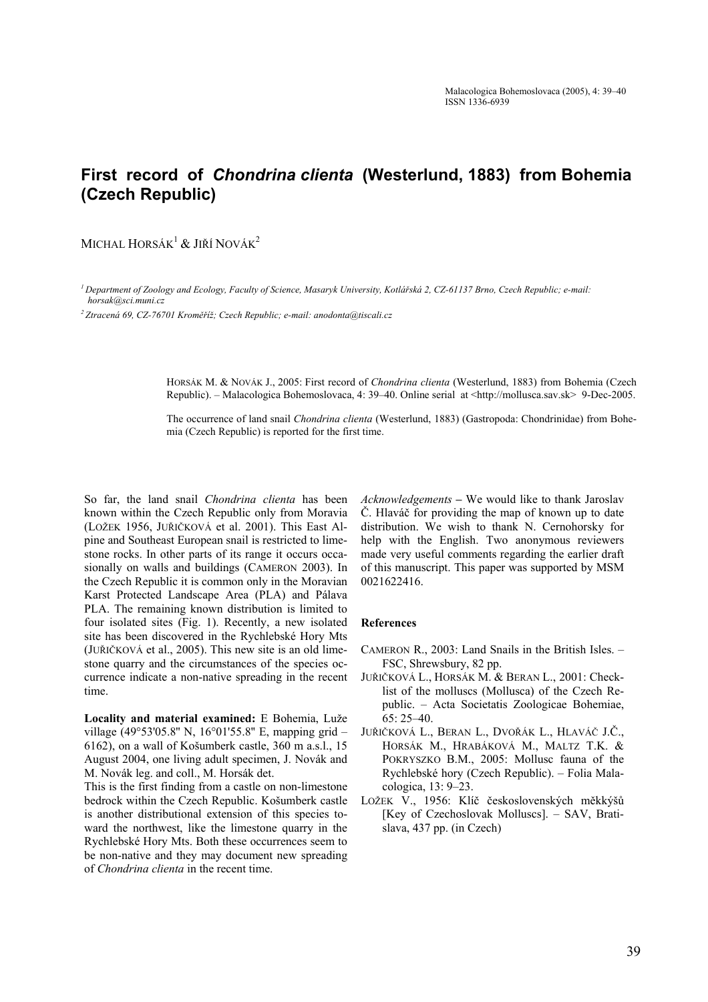## **First record of** *Chondrina clienta* **(Westerlund, 1883) from Bohemia (Czech Republic)**

MICHAL HORSÁK<sup>1</sup> & JIŘÍ NOVÁK<sup>2</sup>

*1 Department of Zoology and Ecology, Faculty of Science, Masaryk University, Kotlářská 2, CZ-61137 Brno, Czech Republic; e-mail: horsak@sci.muni.cz* 

*2 Ztracená 69, CZ-76701 Kroměříž; Czech Republic; e-mail: anodonta@tiscali.cz* 

HORSÁK M. & NOVÁK J., 2005: First record of *Chondrina clienta* (Westerlund, 1883) from Bohemia (Czech Republic). – Malacologica Bohemoslovaca, 4: 39–40. Online serial at <http://mollusca.sav.sk> 9-Dec-2005.

The occurrence of land snail *Chondrina clienta* (Westerlund, 1883) (Gastropoda: Chondrinidae) from Bohemia (Czech Republic) is reported for the first time.

So far, the land snail *Chondrina clienta* has been known within the Czech Republic only from Moravia (LOŽEK 1956, JUŘIČKOVÁ et al. 2001). This East Alpine and Southeast European snail is restricted to limestone rocks. In other parts of its range it occurs occasionally on walls and buildings (CAMERON 2003). In the Czech Republic it is common only in the Moravian Karst Protected Landscape Area (PLA) and Pálava PLA. The remaining known distribution is limited to four isolated sites (Fig. 1). Recently, a new isolated site has been discovered in the Rychlebské Hory Mts (JUŘIČKOVÁ et al., 2005). This new site is an old limestone quarry and the circumstances of the species occurrence indicate a non-native spreading in the recent time.

**Locality and material examined:** E Bohemia, Luže village (49°53'05.8'' N, 16°01'55.8'' E, mapping grid – 6162), on a wall of Košumberk castle, 360 m a.s.l., 15 August 2004, one living adult specimen, J. Novák and M. Novák leg. and coll., M. Horsák det.

This is the first finding from a castle on non-limestone bedrock within the Czech Republic. Košumberk castle is another distributional extension of this species toward the northwest, like the limestone quarry in the Rychlebské Hory Mts. Both these occurrences seem to be non-native and they may document new spreading of *Chondrina clienta* in the recent time.

*Acknowledgements* **–** We would like to thank Jaroslav Č. Hlaváč for providing the map of known up to date distribution. We wish to thank N. Cernohorsky for help with the English. Two anonymous reviewers made very useful comments regarding the earlier draft of this manuscript. This paper was supported by MSM 0021622416.

## **References**

- CAMERON R., 2003: Land Snails in the British Isles. FSC, Shrewsbury, 82 pp.
- JUŘIČKOVÁ L., HORSÁK M. & BERAN L., 2001: Checklist of the molluscs (Mollusca) of the Czech Republic. – Acta Societatis Zoologicae Bohemiae, 65: 25–40.
- JUŘIČKOVÁ L., BERAN L., DVOŘÁK L., HLAVÁČ J.Č., HORSÁK M., HRABÁKOVÁ M., MALTZ T.K. & POKRYSZKO B.M., 2005: Mollusc fauna of the Rychlebské hory (Czech Republic). – Folia Malacologica, 13: 9–23.
- LOŽEK V., 1956: Klíč československých měkkýšů [Key of Czechoslovak Molluscs]. – SAV, Bratislava, 437 pp. (in Czech)